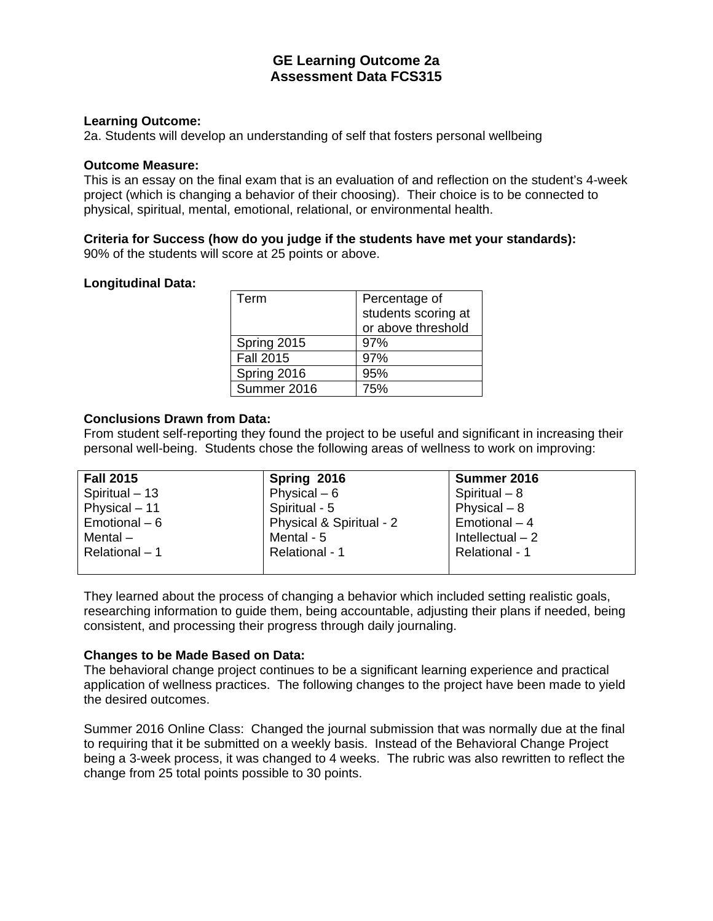## **GE Learning Outcome 2a Assessment Data FCS315**

### **Learning Outcome:**

2a. Students will develop an understanding of self that fosters personal wellbeing

#### **Outcome Measure:**

This is an essay on the final exam that is an evaluation of and reflection on the student's 4-week project (which is changing a behavior of their choosing). Their choice is to be connected to physical, spiritual, mental, emotional, relational, or environmental health.

### **Criteria for Success (how do you judge if the students have met your standards):**

90% of the students will score at 25 points or above.

### **Longitudinal Data:**

| Term             | Percentage of<br>students scoring at<br>or above threshold |
|------------------|------------------------------------------------------------|
| Spring 2015      | 97%                                                        |
| <b>Fall 2015</b> | 97%                                                        |
| Spring 2016      | 95%                                                        |
| Summer 2016      | 75%                                                        |

### **Conclusions Drawn from Data:**

From student self-reporting they found the project to be useful and significant in increasing their personal well-being. Students chose the following areas of wellness to work on improving:

| <b>Fall 2015</b> | Spring 2016              | Summer 2016       |
|------------------|--------------------------|-------------------|
| Spiritual - 13   | Physical $-6$            | Spiritual $-8$    |
| Physical - 11    | Spiritual - 5            | Physical $-8$     |
| Emotional - 6    | Physical & Spiritual - 2 | Emotional - 4     |
| Mental $-$       | Mental - 5               | Intellectual $-2$ |
| Relational - 1   | Relational - 1           | Relational - 1    |
|                  |                          |                   |

They learned about the process of changing a behavior which included setting realistic goals, researching information to guide them, being accountable, adjusting their plans if needed, being consistent, and processing their progress through daily journaling.

### **Changes to be Made Based on Data:**

The behavioral change project continues to be a significant learning experience and practical application of wellness practices. The following changes to the project have been made to yield the desired outcomes.

Summer 2016 Online Class: Changed the journal submission that was normally due at the final to requiring that it be submitted on a weekly basis. Instead of the Behavioral Change Project being a 3-week process, it was changed to 4 weeks. The rubric was also rewritten to reflect the change from 25 total points possible to 30 points.